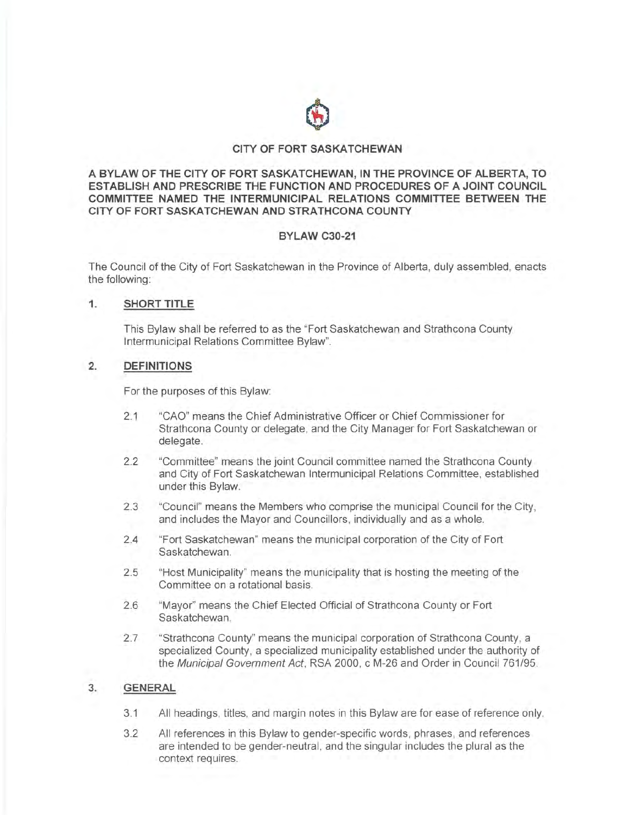

## **CITY OF FORT SASKATCHEWAN**

**A BYLAW OF THE CITY OF FORT SASKATCHEWAN, IN THE PROVINCE OF ALBERTA, TO ESTABLISH AND PRESCRIBE THE FUNCTION AND PROCEDURES OF A JOINT COUNCIL COMMITTEE NAMED THE INTERMUNICIPAL RELATIONS COMMITTEE BETWEEN THE CITY OF FORT SASKATCHEWAN AND STRATHCONA COUNTY** 

## **BYLAW C30-21**

The Council of the City of Fort Saskatchewan in the Province of Alberta, duly assembled, enacts the following:

## **1. SHORT TITLE**

This Bylaw shall be referred to as the "Fort Saskatchewan and Strathcona County lntermunicipal Relations Committee Bylaw".

### **2. DEFINITIONS**

For the purposes of this Bylaw:

- 2.1 "CAO" means the Chief Administrative Officer or Chief Commissioner for Strathcona County or delegate, and the City Manager for Fort Saskatchewan or delegate.
- 2.2 "Committee" means the joint Council committee named the Strathcona County and City of Fort Saskatchewan lntermunicipal Relations Committee, established under this Bylaw.
- 2.3 "Council" means the Members who comprise the municipal Council for the City, and includes the Mayor and Councillors, individually and as a whole.
- 2.4 "Fort Saskatchewan" means the municipal corporation of the City of Fort Saskatchewan.
- 2.5 "Host Municipality" means the municipality that is hosting the meeting of the Committee on a rotational basis.
- 2.6 "Mayor" means the Chief Elected Official of Strathcona County or Fort Saskatchewan.
- 2.7 "Strathcona County" means the municipal corporation of Strathcona County, a specialized County, a specialized municipality established under the authority of the Municipal Government Act, RSA 2000, c M-26 and Order in Council 761/95.

### **3. GENERAL**

- 3.1 All headings, titles, and margin notes in this Bylaw are for ease of reference only.
- 3.2 All references in this Bylaw to gender-specific words, phrases, and references are intended to be gender-neutral, and the singular includes the plural as the context requires.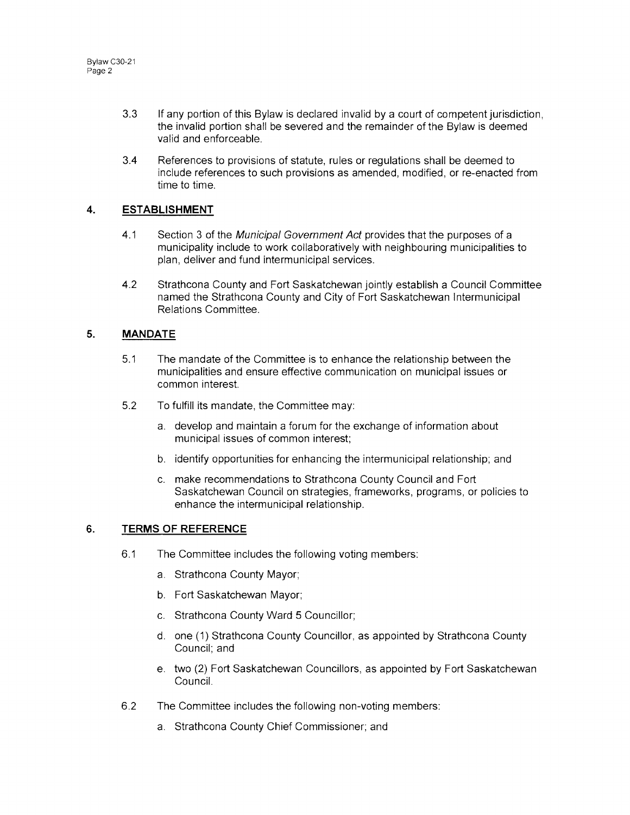- 3.3 If any portion of this Bylaw is declared invalid by a court of competent jurisdiction, the invalid portion shall be severed and the remainder of the Bylaw is deemed valid and enforceable.
- 3.4 References to provisions of statute, rules or regulations shall be deemed to include references to such provisions as amended, modified, or re-enacted from time to time.

# **4. ESTABLISHMENT**

- 4.1 Section 3 of the Municipal Government Act provides that the purposes of a municipality include to work collaboratively with neighbouring municipalities to plan, deliver and fund intermunicipal services.
- 4.2 Strathcona County and Fort Saskatchewan jointly establish a Council Committee named the Strathcona County and City of Fort Saskatchewan lntermunicipal Relations Committee.

# **5. MANDATE**

- 5.1 The mandate of the Committee is to enhance the relationship between the municipalities and ensure effective communication on municipal issues or common interest.
- 5.2 To fulfill its mandate, the Committee may:
	- a. develop and maintain a forum for the exchange of information about municipal issues of common interest;
	- b. identify opportunities for enhancing the intermunicipal relationship; and
	- c. make recommendations to Strathcona County Council and Fort Saskatchewan Council on strategies, frameworks, programs, or policies to enhance the intermunicipal relationship.

# **6. TERMS OF REFERENCE**

- 6.1 The Committee includes the following voting members:
	- a. Strathcona County Mayor;
	- b. Fort Saskatchewan Mayor;
	- c. Strathcona County Ward 5 Councillor;
	- d. one (1) Strathcona County Councillor, as appointed by Strathcona County Council; and
	- e. two (2) Fort Saskatchewan Councillors, as appointed by Fort Saskatchewan Council.
- 6.2 The Committee includes the following non-voting members:
	- a. Strathcona County Chief Commissioner; and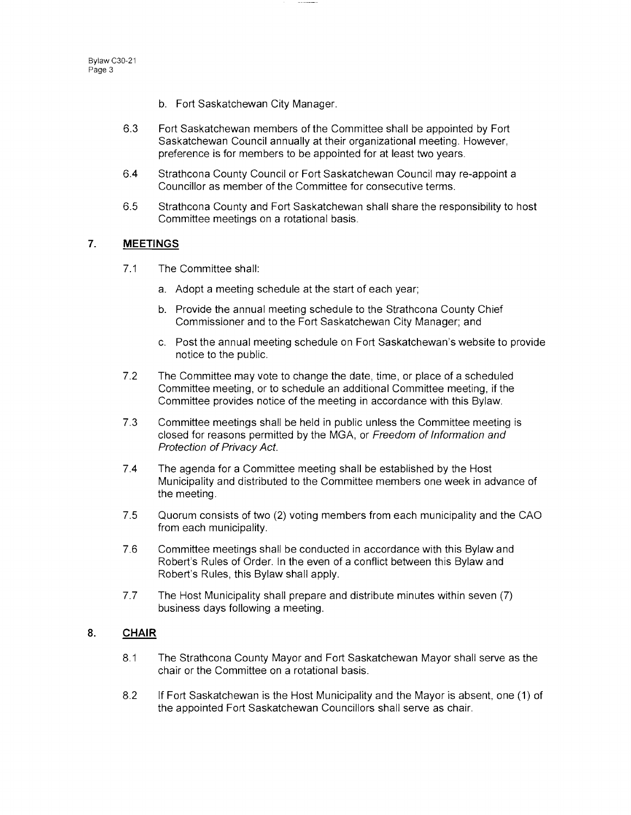- b. Fort Saskatchewan City Manager.
- 6.3 Fort Saskatchewan members of the Committee shall be appointed by Fort Saskatchewan Council annually at their organizational meeting. However, preference is for members to be appointed for at least two years.
- 6.4 Strathcona County Council or Fort Saskatchewan Council may re-appoint a Councillor as member of the Committee for consecutive terms.
- 6.5 Strathcona County and Fort Saskatchewan shall share the responsibility to host Committee meetings on a rotational basis.

#### **7. MEETINGS**

- 7.1 The Committee shall:
	- a. Adopt a meeting schedule at the start of each year;
	- b. Provide the annual meeting schedule to the Strathcona County Chief Commissioner and to the Fort Saskatchewan City Manager; and
	- c. Post the annual meeting schedule on Fort Saskatchewan's website to provide notice to the public.
- 7.2 The Committee may vote to change the date, time, or place of a scheduled Committee meeting, or to schedule an additional Committee meeting, if the Committee provides notice of the meeting in accordance with this Bylaw.
- 7.3 Committee meetings shall be held in public unless the Committee meeting is closed for reasons permitted by the MGA, or Freedom of Information and Protection of Privacy Act.
- 7.4 The agenda for a Committee meeting shall be established by the Host Municipality and distributed to the Committee members one week in advance of the meeting.
- 7.5 Quorum consists of two (2) voting members from each municipality and the CAO from each municipality.
- 7.6 Committee meetings shall be conducted in accordance with this Bylaw and Robert's Rules of Order. In the even of a conflict between this Bylaw and Robert's Rules, this Bylaw shall apply.
- 7.7 The Host Municipality shall prepare and distribute minutes within seven (7) business days following a meeting.

# **8. CHAIR**

- 8.1 The Strathcona County Mayor and Fort Saskatchewan Mayor shall serve as the chair or the Committee on a rotational basis.
- 8.2 If Fort Saskatchewan is the Host Municipality and the Mayor is absent, one (1) of the appointed Fort Saskatchewan Councillors shall serve as chair.